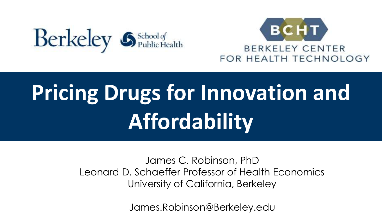



# **Pricing Drugs for Innovation and Affordability**

James C. Robinson, PhD Leonard D. Schaeffer Professor of Health Economics University of California, Berkeley

James.Robinson@Berkeley.edu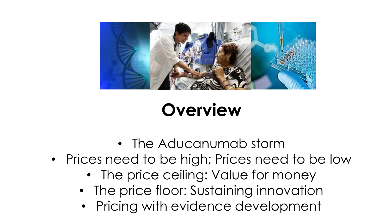

# **Overview**

- The Aducanumab storm
- Prices need to be high; Prices need to be low
	- The price ceiling: Value for money
	- The price floor: Sustaining innovation
	- Pricing with evidence development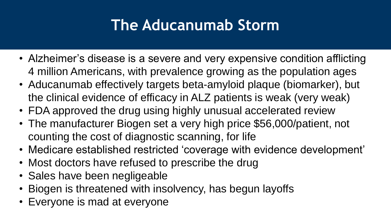# **The Aducanumab Storm**

- Alzheimer's disease is a severe and very expensive condition afflicting 4 million Americans, with prevalence growing as the population ages
- Aducanumab effectively targets beta-amyloid plaque (biomarker), but the clinical evidence of efficacy in ALZ patients is weak (very weak)
- FDA approved the drug using highly unusual accelerated review
- The manufacturer Biogen set a very high price \$56,000/patient, not counting the cost of diagnostic scanning, for life
- Medicare established restricted 'coverage with evidence development'
- Most doctors have refused to prescribe the drug
- Sales have been negligeable
- Biogen is threatened with insolvency, has begun layoffs
- Everyone is mad at everyone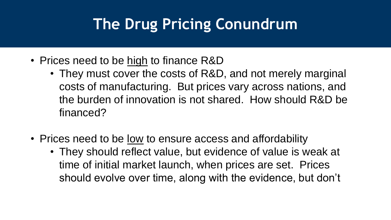# **The Drug Pricing Conundrum**

- Prices need to be high to finance R&D
	- They must cover the costs of R&D, and not merely marginal costs of manufacturing. But prices vary across nations, and the burden of innovation is not shared. How should R&D be financed?
- Prices need to be <u>low</u> to ensure access and affordability
	- They should reflect value, but evidence of value is weak at time of initial market launch, when prices are set. Prices should evolve over time, along with the evidence, but don't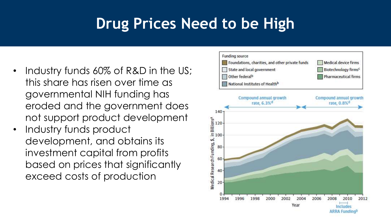# **Drug Prices Need to be High**

- Industry funds 60% of R&D in the US; this share has risen over time as governmental NIH funding has eroded and the government does not support product development
- Industry funds product development, and obtains its investment capital from profits based on prices that significantly exceed costs of production

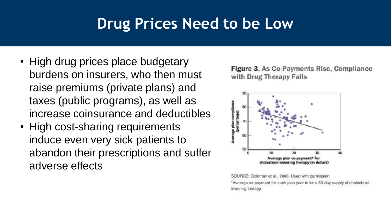# **Drug Prices Need to be Low**

- High drug prices place budgetary burdens on insurers, who then must raise premiums (private plans) and taxes (public programs), as well as increase coinsurance and deductibles
- High cost-sharing requirements induce even very sick patients to abandon their prescriptions and suffer adverse effects





SOURCE: Goldman et al., 2006. Used with permission. \*Average co-payment for each plan year is for a 30-day supply of cholesterollowering therapy.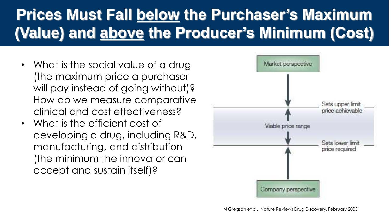# **Prices Must Fall below the Purchaser's Maximum (Value) and above the Producer's Minimum (Cost)**

- What is the social value of a drug (the maximum price a purchaser will pay instead of going without)? How do we measure comparative clinical and cost effectiveness?
- What is the efficient cost of developing a drug, including R&D, manufacturing, and distribution (the minimum the innovator can accept and sustain itself)?

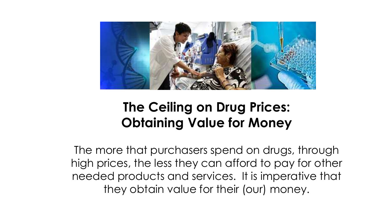

#### **The Ceiling on Drug Prices: Obtaining Value for Money**

The more that purchasers spend on drugs, through high prices, the less they can afford to pay for other needed products and services. It is imperative that they obtain value for their (our) money.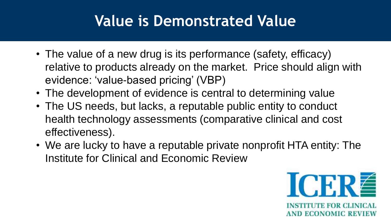# **Value is Demonstrated Value**

- The value of a new drug is its performance (safety, efficacy) relative to products already on the market. Price should align with evidence: 'value-based pricing' (VBP)
- The development of evidence is central to determining value
- The US needs, but lacks, a reputable public entity to conduct health technology assessments (comparative clinical and cost effectiveness).
- We are lucky to have a reputable private nonprofit HTA entity: The Institute for Clinical and Economic Review

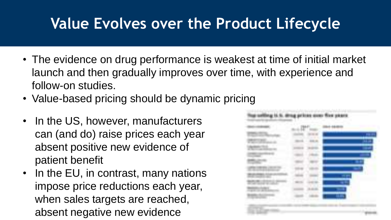# **Value Evolves over the Product Lifecycle**

- The evidence on drug performance is weakest at time of initial market launch and then gradually improves over time, with experience and follow-on studies.
- Value-based pricing should be dynamic pricing
- In the US, however, manufacturers can (and do) raise prices each year absent positive new evidence of patient benefit
- In the EU, in contrast, many nations impose price reductions each year, when sales targets are reached, absent negative new evidence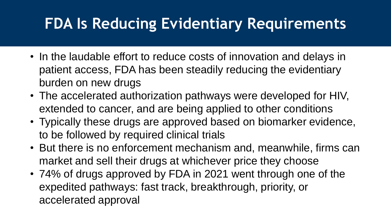# **FDA Is Reducing Evidentiary Requirements**

- In the laudable effort to reduce costs of innovation and delays in patient access, FDA has been steadily reducing the evidentiary burden on new drugs
- The accelerated authorization pathways were developed for HIV, extended to cancer, and are being applied to other conditions
- Typically these drugs are approved based on biomarker evidence, to be followed by required clinical trials
- But there is no enforcement mechanism and, meanwhile, firms can market and sell their drugs at whichever price they choose
- 74% of drugs approved by FDA in 2021 went through one of the expedited pathways: fast track, breakthrough, priority, or accelerated approval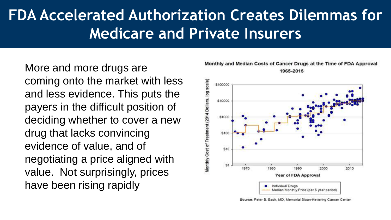# **FDA Accelerated Authorization Creates Dilemmas for Medicare and Private Insurers**

More and more drugs are coming onto the market with less and less evidence. This puts the payers in the difficult position of deciding whether to cover a new drug that lacks convincing evidence of value, and of negotiating a price aligned with value. Not surprisingly, prices have been rising rapidly



Monthly and Median Costs of Cancer Drugs at the Time of FDA Approval 1965-2015

Source: Peter B. Bach, MD, Memorial Sloan-Kettering Cancer Center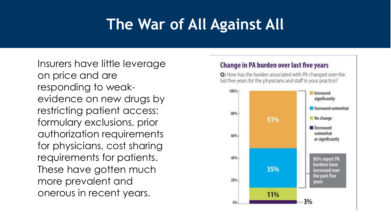# **The War of All Against All**

Insurers have little leverage on price and are responding to weakevidence on new drugs by restricting patient access: formulary exclusions, prior authorization requirements for physicians, cost sharing requirements for patients. These have gotten much more prevalent and onerous in recent years.

#### Change in PA burden over last five years

Q: How has the burden associated with PA changed over the last five years for the physicians and staff in your practice?

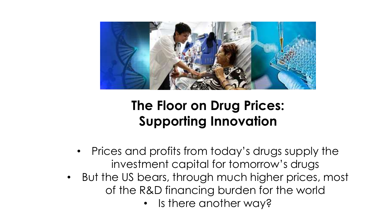

### **The Floor on Drug Prices: Supporting Innovation**

- Prices and profits from today's drugs supply the investment capital for tomorrow's drugs
- But the US bears, through much higher prices, most of the R&D financing burden for the world
	- Is there another way?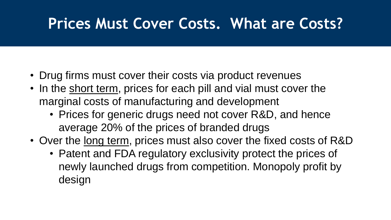# **Prices Must Cover Costs. What are Costs?**

- Drug firms must cover their costs via product revenues
- In the short term, prices for each pill and vial must cover the marginal costs of manufacturing and development
	- Prices for generic drugs need not cover R&D, and hence average 20% of the prices of branded drugs
- Over the long term, prices must also cover the fixed costs of R&D
	- Patent and FDA regulatory exclusivity protect the prices of newly launched drugs from competition. Monopoly profit by design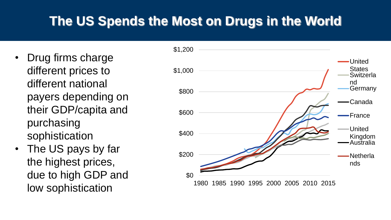### **The US Spends the Most on Drugs in the World**

- Drug firms charge different prices to different national payers depending on their GDP/capita and purchasing sophistication
- The US pays by far the highest prices, due to high GDP and low sophistication

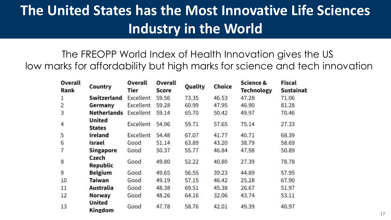### **The United States has the Most Innovative Life Sciences Industry in the World**

The FREOPP World Index of Health Innovation gives the US low marks for affordability but high marks for science and tech innovation

| Overall<br>Rank | Country                        | Overall<br><b>Tier</b> | Overall<br>Score | Quality | Choice | Science &<br><b>Technology</b> | <b>Fiscal</b><br>Sustainab |
|-----------------|--------------------------------|------------------------|------------------|---------|--------|--------------------------------|----------------------------|
| 1               | <b>Switzerland</b>             | Excellent              | 59.56            | 73.35   | 46.53  | 47.28                          | 71.06                      |
| $\overline{2}$  | Germany                        | Excellent              | 59.28            | 60.99   | 47.95  | 46.90                          | 81.28                      |
| 3               | <b>Netherlands</b>             | Excellent              | 59.14            | 65.70   | 50.42  | 49.97                          | 70.46                      |
| $\overline{4}$  | <b>United</b><br><b>States</b> | Excellent              | 54.96            | 59.71   | 57.65  | 75.14                          | 27.33                      |
| 5               | Ireland                        | Excellent              | 54.48            | 67.07   | 41.77  | 40.71                          | 68.39                      |
| 6               | Israel                         | Good                   | 51.14            | 63.89   | 43.20  | 38.79                          | 58.69                      |
|                 | Singapore                      | Good                   | 50.37            | 55.77   | 46.84  | 47.98                          | 50.89                      |
| 8               | Czech<br>Republic              | Good                   | 49.80            | 52.22   | 40.80  | 27.39                          | 78.78                      |
| 9               | <b>Belgium</b>                 | Good                   | 49.65            | 56.55   | 39.23  | 44.89                          | 57.95                      |
| 10              | Taiwan                         | Good                   | 49.19            | 57.15   | 46.42  | 25.28                          | 67.90                      |
| 11              | Australia                      | Good                   | 48.38            | 69.51   | 45.38  | 26.67                          | 51.97                      |
| 12              | Norway                         | Good                   | 48.26            | 64.16   | 32.06  | 43.74                          | 53.11                      |
| 13              | United<br>Kingdom              | Good                   | 47.78            | 58.76   | 42.01  | 49.39                          | 40.97                      |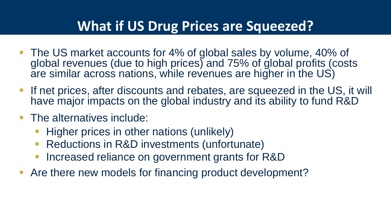#### **What if US Drug Prices are Squeezed?**

- The US market accounts for 4% of global sales by volume, 40% of global revenues (due to high prices) and 75% of global profits (costs are similar across nations, while revenues are higher in the US)
- **If net prices, after discounts and rebates, are squeezed in the US, it will** have major impacts on the global industry and its ability to fund R&D
- The alternatives include:
	- Higher prices in other nations (unlikely)
	- Reductions in R&D investments (unfortunate)
	- Increased reliance on government grants for R&D
- **-** Are there new models for financing product development?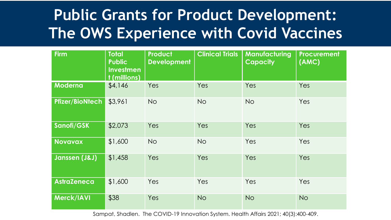# **Public Grants for Product Development: The OWS Experience with Covid Vaccines**

| <b>Firm</b>            | <b>Total</b><br><b>Public</b><br><b>Investmen</b><br>t (millions) | <b>Product</b><br><b>Development</b> | <b>Clinical Trials</b> | <b>Manufacturing</b><br><b>Capacity</b> | <b>Procurement</b><br>(AMC) |
|------------------------|-------------------------------------------------------------------|--------------------------------------|------------------------|-----------------------------------------|-----------------------------|
| Moderna                | \$4,146                                                           | Yes                                  | Yes                    | Yes                                     | Yes                         |
| <b>Pfizer/BioNtech</b> | \$3,961                                                           | <b>No</b>                            | <b>No</b>              | <b>No</b>                               | Yes                         |
| Sanofi/GSK             | \$2,073                                                           | Yes                                  | Yes                    | Yes                                     | Yes                         |
| <b>Novavax</b>         | \$1,600                                                           | <b>No</b>                            | <b>No</b>              | Yes                                     | Yes                         |
| Janssen (J&J)          | \$1,458                                                           | Yes                                  | Yes                    | Yes                                     | Yes                         |
| <b>AstraZeneca</b>     | \$1,600                                                           | Yes                                  | Yes                    | Yes                                     | Yes                         |
| Merck/IAVI             | \$38                                                              | Yes                                  | <b>No</b>              | <b>No</b>                               | <b>No</b>                   |

Sampat, Shadlen. The COVID-19 Innovation System. Health Affairs 2021; 40(3):400-409.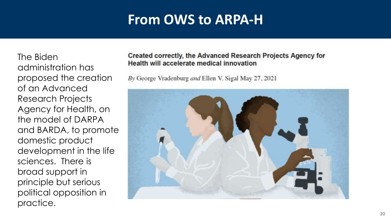#### **From OWS to ARPA-H**

The Biden administration has proposed the creation of an Advanced Research Projects Agency for Health, on the model of DARPA and BARDA, to promote domestic product development in the life sciences. There is broad support in principle but serious political opposition in practice.

#### Created correctly, the Advanced Research Projects Agency for Health will accelerate medical innovation

By George Vradenburg and Ellen V. Sigal May 27, 2021

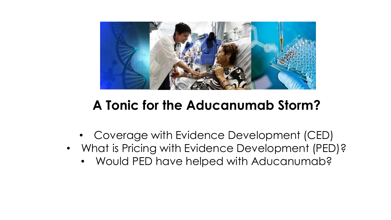

#### **A Tonic for the Aducanumab Storm?**

- Coverage with Evidence Development (CED)
- What is Pricing with Evidence Development (PED)?
	- Would PED have helped with Aducanumab?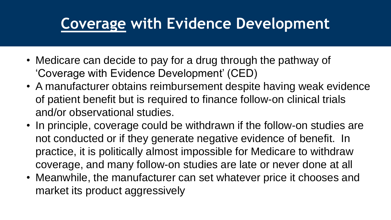# **Coverage with Evidence Development**

- Medicare can decide to pay for a drug through the pathway of 'Coverage with Evidence Development' (CED)
- A manufacturer obtains reimbursement despite having weak evidence of patient benefit but is required to finance follow-on clinical trials and/or observational studies.
- In principle, coverage could be withdrawn if the follow-on studies are not conducted or if they generate negative evidence of benefit. In practice, it is politically almost impossible for Medicare to withdraw coverage, and many follow-on studies are late or never done at all
- Meanwhile, the manufacturer can set whatever price it chooses and market its product aggressively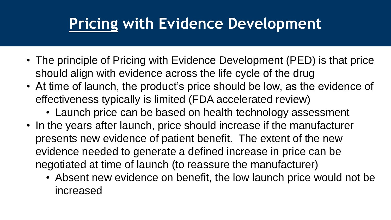# **Pricing with Evidence Development**

- The principle of Pricing with Evidence Development (PED) is that price should align with evidence across the life cycle of the drug
- At time of launch, the product's price should be low, as the evidence of effectiveness typically is limited (FDA accelerated review)
	- Launch price can be based on health technology assessment
- In the years after launch, price should increase if the manufacturer presents new evidence of patient benefit. The extent of the new evidence needed to generate a defined increase in price can be negotiated at time of launch (to reassure the manufacturer)
	- Absent new evidence on benefit, the low launch price would not be increased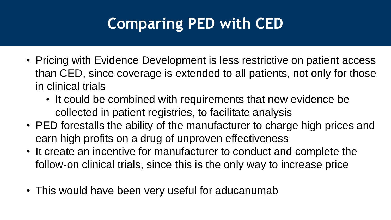# **Comparing PED with CED**

- Pricing with Evidence Development is less restrictive on patient access than CED, since coverage is extended to all patients, not only for those in clinical trials
	- It could be combined with requirements that new evidence be collected in patient registries, to facilitate analysis
- PED forestalls the ability of the manufacturer to charge high prices and earn high profits on a drug of unproven effectiveness
- It create an incentive for manufacturer to conduct and complete the follow-on clinical trials, since this is the only way to increase price
- This would have been very useful for aducanumab